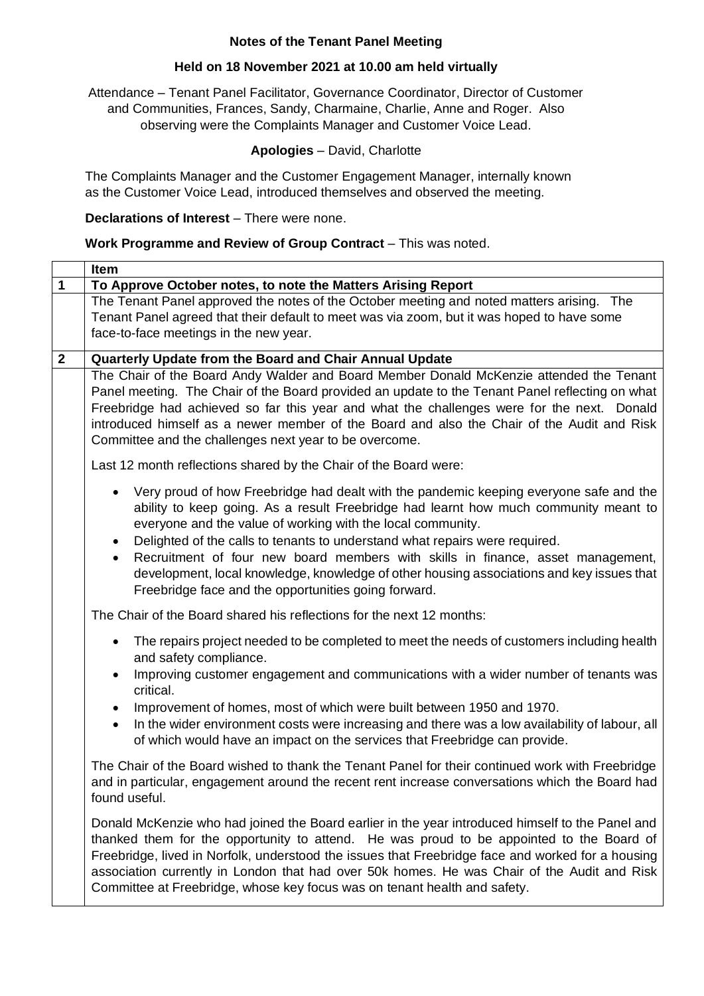## **Notes of the Tenant Panel Meeting**

## **Held on 18 November 2021 at 10.00 am held virtually**

Attendance – Tenant Panel Facilitator, Governance Coordinator, Director of Customer and Communities, Frances, Sandy, Charmaine, Charlie, Anne and Roger. Also observing were the Complaints Manager and Customer Voice Lead.

## **Apologies** – David, Charlotte

The Complaints Manager and the Customer Engagement Manager, internally known as the Customer Voice Lead, introduced themselves and observed the meeting.

## **Declarations of Interest** – There were none.

#### **Work Programme and Review of Group Contract** – This was noted.

|              | Item                                                                                                                                                                                                                                                                                                                                                                                                                                                                                                                                                                                           |
|--------------|------------------------------------------------------------------------------------------------------------------------------------------------------------------------------------------------------------------------------------------------------------------------------------------------------------------------------------------------------------------------------------------------------------------------------------------------------------------------------------------------------------------------------------------------------------------------------------------------|
| $\mathbf 1$  | To Approve October notes, to note the Matters Arising Report                                                                                                                                                                                                                                                                                                                                                                                                                                                                                                                                   |
|              | The Tenant Panel approved the notes of the October meeting and noted matters arising. The<br>Tenant Panel agreed that their default to meet was via zoom, but it was hoped to have some<br>face-to-face meetings in the new year.                                                                                                                                                                                                                                                                                                                                                              |
| $\mathbf{2}$ | Quarterly Update from the Board and Chair Annual Update                                                                                                                                                                                                                                                                                                                                                                                                                                                                                                                                        |
|              | The Chair of the Board Andy Walder and Board Member Donald McKenzie attended the Tenant<br>Panel meeting. The Chair of the Board provided an update to the Tenant Panel reflecting on what<br>Freebridge had achieved so far this year and what the challenges were for the next. Donald<br>introduced himself as a newer member of the Board and also the Chair of the Audit and Risk<br>Committee and the challenges next year to be overcome.                                                                                                                                               |
|              | Last 12 month reflections shared by the Chair of the Board were:                                                                                                                                                                                                                                                                                                                                                                                                                                                                                                                               |
|              | Very proud of how Freebridge had dealt with the pandemic keeping everyone safe and the<br>ability to keep going. As a result Freebridge had learnt how much community meant to<br>everyone and the value of working with the local community.<br>Delighted of the calls to tenants to understand what repairs were required.<br>$\bullet$<br>Recruitment of four new board members with skills in finance, asset management,<br>$\bullet$<br>development, local knowledge, knowledge of other housing associations and key issues that<br>Freebridge face and the opportunities going forward. |
|              | The Chair of the Board shared his reflections for the next 12 months:                                                                                                                                                                                                                                                                                                                                                                                                                                                                                                                          |
|              | The repairs project needed to be completed to meet the needs of customers including health<br>$\bullet$<br>and safety compliance.<br>Improving customer engagement and communications with a wider number of tenants was<br>critical.                                                                                                                                                                                                                                                                                                                                                          |
|              | Improvement of homes, most of which were built between 1950 and 1970.<br>$\bullet$<br>In the wider environment costs were increasing and there was a low availability of labour, all<br>$\bullet$<br>of which would have an impact on the services that Freebridge can provide.                                                                                                                                                                                                                                                                                                                |
|              | The Chair of the Board wished to thank the Tenant Panel for their continued work with Freebridge<br>and in particular, engagement around the recent rent increase conversations which the Board had<br>found useful.                                                                                                                                                                                                                                                                                                                                                                           |
|              | Donald McKenzie who had joined the Board earlier in the year introduced himself to the Panel and<br>thanked them for the opportunity to attend. He was proud to be appointed to the Board of<br>Freebridge, lived in Norfolk, understood the issues that Freebridge face and worked for a housing<br>association currently in London that had over 50k homes. He was Chair of the Audit and Risk<br>Committee at Freebridge, whose key focus was on tenant health and safety.                                                                                                                  |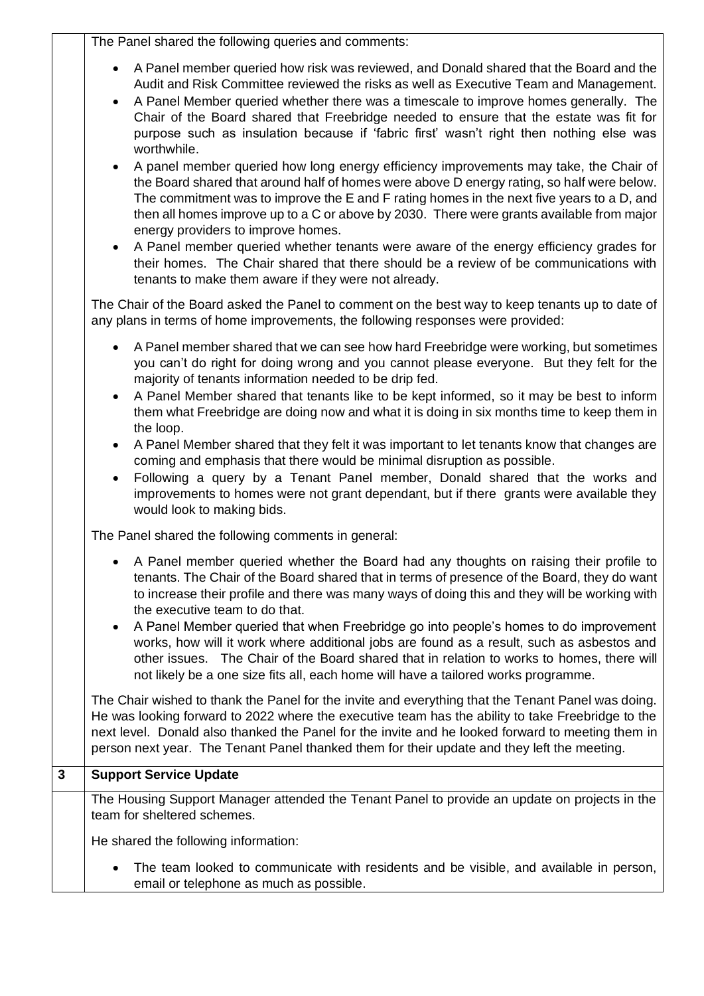The Panel shared the following queries and comments:

- A Panel member queried how risk was reviewed, and Donald shared that the Board and the Audit and Risk Committee reviewed the risks as well as Executive Team and Management.
- A Panel Member queried whether there was a timescale to improve homes generally. The Chair of the Board shared that Freebridge needed to ensure that the estate was fit for purpose such as insulation because if 'fabric first' wasn't right then nothing else was worthwhile.
- A panel member queried how long energy efficiency improvements may take, the Chair of the Board shared that around half of homes were above D energy rating, so half were below. The commitment was to improve the E and F rating homes in the next five years to a D, and then all homes improve up to a C or above by 2030. There were grants available from major energy providers to improve homes.
- A Panel member queried whether tenants were aware of the energy efficiency grades for their homes. The Chair shared that there should be a review of be communications with tenants to make them aware if they were not already.

The Chair of the Board asked the Panel to comment on the best way to keep tenants up to date of any plans in terms of home improvements, the following responses were provided:

- A Panel member shared that we can see how hard Freebridge were working, but sometimes you can't do right for doing wrong and you cannot please everyone. But they felt for the majority of tenants information needed to be drip fed.
- A Panel Member shared that tenants like to be kept informed, so it may be best to inform them what Freebridge are doing now and what it is doing in six months time to keep them in the loop.
- A Panel Member shared that they felt it was important to let tenants know that changes are coming and emphasis that there would be minimal disruption as possible.
- Following a query by a Tenant Panel member, Donald shared that the works and improvements to homes were not grant dependant, but if there grants were available they would look to making bids.

The Panel shared the following comments in general:

- A Panel member queried whether the Board had any thoughts on raising their profile to tenants. The Chair of the Board shared that in terms of presence of the Board, they do want to increase their profile and there was many ways of doing this and they will be working with the executive team to do that.
- A Panel Member queried that when Freebridge go into people's homes to do improvement works, how will it work where additional jobs are found as a result, such as asbestos and other issues. The Chair of the Board shared that in relation to works to homes, there will not likely be a one size fits all, each home will have a tailored works programme.

The Chair wished to thank the Panel for the invite and everything that the Tenant Panel was doing. He was looking forward to 2022 where the executive team has the ability to take Freebridge to the next level. Donald also thanked the Panel for the invite and he looked forward to meeting them in person next year. The Tenant Panel thanked them for their update and they left the meeting.

# **3 Support Service Update**

The Housing Support Manager attended the Tenant Panel to provide an update on projects in the team for sheltered schemes.

He shared the following information:

The team looked to communicate with residents and be visible, and available in person, email or telephone as much as possible.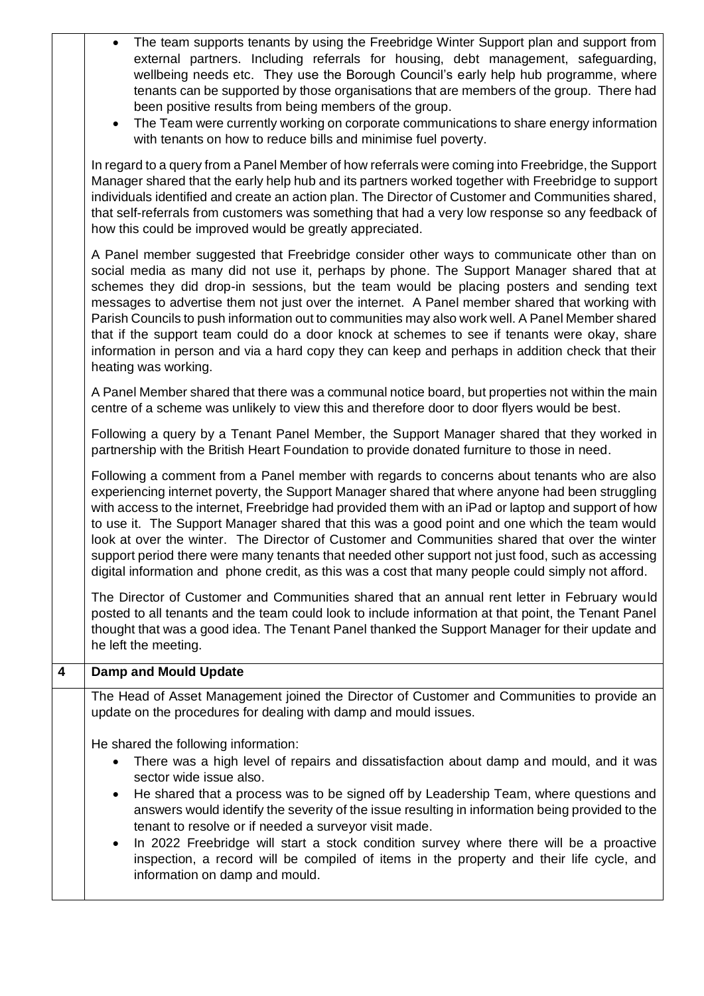|                | The team supports tenants by using the Freebridge Winter Support plan and support from<br>external partners. Including referrals for housing, debt management, safeguarding,<br>wellbeing needs etc. They use the Borough Council's early help hub programme, where<br>tenants can be supported by those organisations that are members of the group. There had<br>been positive results from being members of the group.<br>The Team were currently working on corporate communications to share energy information<br>$\bullet$<br>with tenants on how to reduce bills and minimise fuel poverty.                                                                                                                   |
|----------------|-----------------------------------------------------------------------------------------------------------------------------------------------------------------------------------------------------------------------------------------------------------------------------------------------------------------------------------------------------------------------------------------------------------------------------------------------------------------------------------------------------------------------------------------------------------------------------------------------------------------------------------------------------------------------------------------------------------------------|
|                | In regard to a query from a Panel Member of how referrals were coming into Freebridge, the Support<br>Manager shared that the early help hub and its partners worked together with Freebridge to support<br>individuals identified and create an action plan. The Director of Customer and Communities shared,<br>that self-referrals from customers was something that had a very low response so any feedback of<br>how this could be improved would be greatly appreciated.                                                                                                                                                                                                                                        |
|                | A Panel member suggested that Freebridge consider other ways to communicate other than on<br>social media as many did not use it, perhaps by phone. The Support Manager shared that at<br>schemes they did drop-in sessions, but the team would be placing posters and sending text<br>messages to advertise them not just over the internet. A Panel member shared that working with<br>Parish Councils to push information out to communities may also work well. A Panel Member shared<br>that if the support team could do a door knock at schemes to see if tenants were okay, share<br>information in person and via a hard copy they can keep and perhaps in addition check that their<br>heating was working. |
|                | A Panel Member shared that there was a communal notice board, but properties not within the main<br>centre of a scheme was unlikely to view this and therefore door to door flyers would be best.                                                                                                                                                                                                                                                                                                                                                                                                                                                                                                                     |
|                | Following a query by a Tenant Panel Member, the Support Manager shared that they worked in<br>partnership with the British Heart Foundation to provide donated furniture to those in need.                                                                                                                                                                                                                                                                                                                                                                                                                                                                                                                            |
|                | Following a comment from a Panel member with regards to concerns about tenants who are also<br>experiencing internet poverty, the Support Manager shared that where anyone had been struggling<br>with access to the internet, Freebridge had provided them with an iPad or laptop and support of how<br>to use it. The Support Manager shared that this was a good point and one which the team would<br>look at over the winter. The Director of Customer and Communities shared that over the winter<br>support period there were many tenants that needed other support not just food, such as accessing<br>digital information and phone credit, as this was a cost that many people could simply not afford.    |
|                | The Director of Customer and Communities shared that an annual rent letter in February would<br>posted to all tenants and the team could look to include information at that point, the Tenant Panel<br>thought that was a good idea. The Tenant Panel thanked the Support Manager for their update and<br>he left the meeting.                                                                                                                                                                                                                                                                                                                                                                                       |
| $\overline{4}$ | <b>Damp and Mould Update</b>                                                                                                                                                                                                                                                                                                                                                                                                                                                                                                                                                                                                                                                                                          |
|                | The Head of Asset Management joined the Director of Customer and Communities to provide an<br>update on the procedures for dealing with damp and mould issues.                                                                                                                                                                                                                                                                                                                                                                                                                                                                                                                                                        |
|                | He shared the following information:<br>There was a high level of repairs and dissatisfaction about damp and mould, and it was<br>$\bullet$<br>sector wide issue also.<br>He shared that a process was to be signed off by Leadership Team, where questions and<br>$\bullet$<br>answers would identify the severity of the issue resulting in information being provided to the<br>tenant to resolve or if needed a surveyor visit made.<br>In 2022 Freebridge will start a stock condition survey where there will be a proactive<br>$\bullet$<br>inspection, a record will be compiled of items in the property and their life cycle, and<br>information on damp and mould.                                         |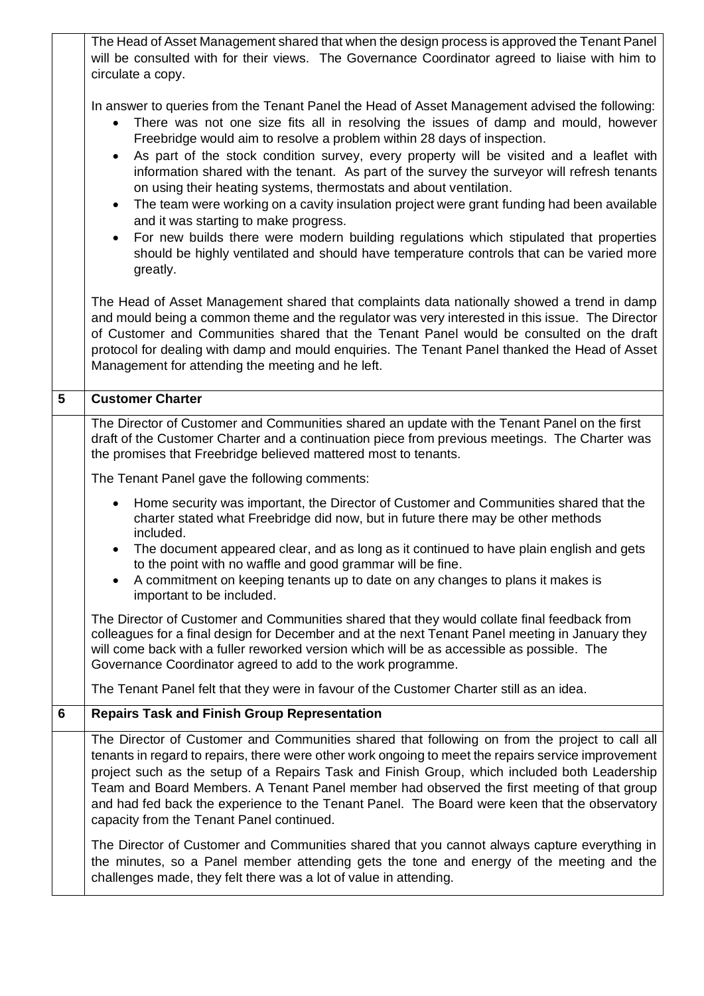|   | The Head of Asset Management shared that when the design process is approved the Tenant Panel<br>will be consulted with for their views. The Governance Coordinator agreed to liaise with him to<br>circulate a copy.                                                                                                                                                                                                                                                                                                                             |
|---|---------------------------------------------------------------------------------------------------------------------------------------------------------------------------------------------------------------------------------------------------------------------------------------------------------------------------------------------------------------------------------------------------------------------------------------------------------------------------------------------------------------------------------------------------|
|   | In answer to queries from the Tenant Panel the Head of Asset Management advised the following:<br>There was not one size fits all in resolving the issues of damp and mould, however<br>Freebridge would aim to resolve a problem within 28 days of inspection.<br>As part of the stock condition survey, every property will be visited and a leaflet with<br>information shared with the tenant. As part of the survey the surveyor will refresh tenants<br>on using their heating systems, thermostats and about ventilation.                  |
|   | The team were working on a cavity insulation project were grant funding had been available<br>$\bullet$<br>and it was starting to make progress.                                                                                                                                                                                                                                                                                                                                                                                                  |
|   | For new builds there were modern building regulations which stipulated that properties<br>$\bullet$<br>should be highly ventilated and should have temperature controls that can be varied more<br>greatly.                                                                                                                                                                                                                                                                                                                                       |
|   | The Head of Asset Management shared that complaints data nationally showed a trend in damp<br>and mould being a common theme and the regulator was very interested in this issue. The Director<br>of Customer and Communities shared that the Tenant Panel would be consulted on the draft<br>protocol for dealing with damp and mould enquiries. The Tenant Panel thanked the Head of Asset<br>Management for attending the meeting and he left.                                                                                                 |
| 5 | <b>Customer Charter</b>                                                                                                                                                                                                                                                                                                                                                                                                                                                                                                                           |
|   | The Director of Customer and Communities shared an update with the Tenant Panel on the first<br>draft of the Customer Charter and a continuation piece from previous meetings. The Charter was<br>the promises that Freebridge believed mattered most to tenants.                                                                                                                                                                                                                                                                                 |
|   | The Tenant Panel gave the following comments:                                                                                                                                                                                                                                                                                                                                                                                                                                                                                                     |
|   | Home security was important, the Director of Customer and Communities shared that the<br>charter stated what Freebridge did now, but in future there may be other methods<br>included.                                                                                                                                                                                                                                                                                                                                                            |
|   | The document appeared clear, and as long as it continued to have plain english and gets<br>to the point with no waffle and good grammar will be fine                                                                                                                                                                                                                                                                                                                                                                                              |
|   | A commitment on keeping tenants up to date on any changes to plans it makes is<br>important to be included.                                                                                                                                                                                                                                                                                                                                                                                                                                       |
|   | The Director of Customer and Communities shared that they would collate final feedback from<br>colleagues for a final design for December and at the next Tenant Panel meeting in January they<br>will come back with a fuller reworked version which will be as accessible as possible. The<br>Governance Coordinator agreed to add to the work programme.                                                                                                                                                                                       |
|   | The Tenant Panel felt that they were in favour of the Customer Charter still as an idea.                                                                                                                                                                                                                                                                                                                                                                                                                                                          |
| 6 | <b>Repairs Task and Finish Group Representation</b>                                                                                                                                                                                                                                                                                                                                                                                                                                                                                               |
|   | The Director of Customer and Communities shared that following on from the project to call all<br>tenants in regard to repairs, there were other work ongoing to meet the repairs service improvement<br>project such as the setup of a Repairs Task and Finish Group, which included both Leadership<br>Team and Board Members. A Tenant Panel member had observed the first meeting of that group<br>and had fed back the experience to the Tenant Panel. The Board were keen that the observatory<br>capacity from the Tenant Panel continued. |
|   | The Director of Customer and Communities shared that you cannot always capture everything in<br>the minutes, so a Panel member attending gets the tone and energy of the meeting and the<br>challenges made, they felt there was a lot of value in attending.                                                                                                                                                                                                                                                                                     |

 $\mathsf{l}$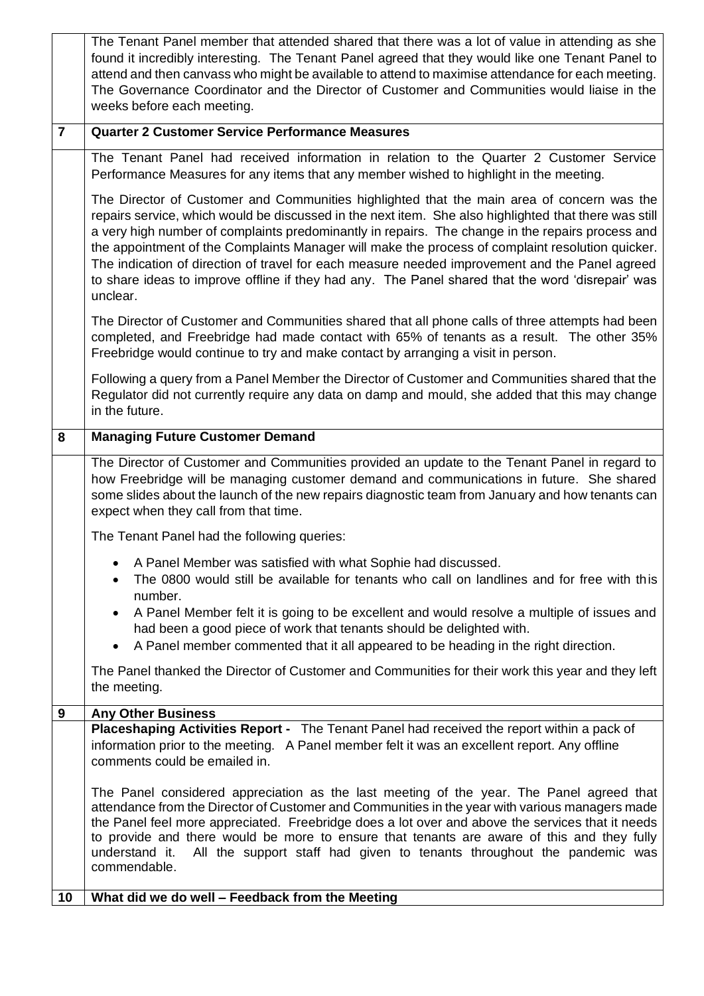|                | The Tenant Panel member that attended shared that there was a lot of value in attending as she<br>found it incredibly interesting. The Tenant Panel agreed that they would like one Tenant Panel to<br>attend and then canvass who might be available to attend to maximise attendance for each meeting.<br>The Governance Coordinator and the Director of Customer and Communities would liaise in the<br>weeks before each meeting.                                                                                                                                                                                          |
|----------------|--------------------------------------------------------------------------------------------------------------------------------------------------------------------------------------------------------------------------------------------------------------------------------------------------------------------------------------------------------------------------------------------------------------------------------------------------------------------------------------------------------------------------------------------------------------------------------------------------------------------------------|
| $\overline{7}$ | <b>Quarter 2 Customer Service Performance Measures</b>                                                                                                                                                                                                                                                                                                                                                                                                                                                                                                                                                                         |
|                | The Tenant Panel had received information in relation to the Quarter 2 Customer Service<br>Performance Measures for any items that any member wished to highlight in the meeting.                                                                                                                                                                                                                                                                                                                                                                                                                                              |
|                | The Director of Customer and Communities highlighted that the main area of concern was the<br>repairs service, which would be discussed in the next item. She also highlighted that there was still<br>a very high number of complaints predominantly in repairs. The change in the repairs process and<br>the appointment of the Complaints Manager will make the process of complaint resolution quicker.<br>The indication of direction of travel for each measure needed improvement and the Panel agreed<br>to share ideas to improve offline if they had any. The Panel shared that the word 'disrepair' was<br>unclear. |
|                | The Director of Customer and Communities shared that all phone calls of three attempts had been<br>completed, and Freebridge had made contact with 65% of tenants as a result. The other 35%<br>Freebridge would continue to try and make contact by arranging a visit in person.                                                                                                                                                                                                                                                                                                                                              |
|                | Following a query from a Panel Member the Director of Customer and Communities shared that the<br>Regulator did not currently require any data on damp and mould, she added that this may change<br>in the future.                                                                                                                                                                                                                                                                                                                                                                                                             |
| 8              | <b>Managing Future Customer Demand</b>                                                                                                                                                                                                                                                                                                                                                                                                                                                                                                                                                                                         |
|                | The Director of Customer and Communities provided an update to the Tenant Panel in regard to<br>how Freebridge will be managing customer demand and communications in future. She shared<br>some slides about the launch of the new repairs diagnostic team from January and how tenants can<br>expect when they call from that time.                                                                                                                                                                                                                                                                                          |
|                | The Tenant Panel had the following queries:                                                                                                                                                                                                                                                                                                                                                                                                                                                                                                                                                                                    |
|                | A Panel Member was satisfied with what Sophie had discussed.<br>The 0800 would still be available for tenants who call on landlines and for free with this<br>number.                                                                                                                                                                                                                                                                                                                                                                                                                                                          |
|                | A Panel Member felt it is going to be excellent and would resolve a multiple of issues and<br>had been a good piece of work that tenants should be delighted with.<br>A Panel member commented that it all appeared to be heading in the right direction.                                                                                                                                                                                                                                                                                                                                                                      |
|                | The Panel thanked the Director of Customer and Communities for their work this year and they left<br>the meeting.                                                                                                                                                                                                                                                                                                                                                                                                                                                                                                              |
| 9              | <b>Any Other Business</b>                                                                                                                                                                                                                                                                                                                                                                                                                                                                                                                                                                                                      |
|                | Placeshaping Activities Report - The Tenant Panel had received the report within a pack of<br>information prior to the meeting. A Panel member felt it was an excellent report. Any offline<br>comments could be emailed in.                                                                                                                                                                                                                                                                                                                                                                                                   |
|                | The Panel considered appreciation as the last meeting of the year. The Panel agreed that<br>attendance from the Director of Customer and Communities in the year with various managers made<br>the Panel feel more appreciated. Freebridge does a lot over and above the services that it needs<br>to provide and there would be more to ensure that tenants are aware of this and they fully<br>All the support staff had given to tenants throughout the pandemic was<br>understand it.<br>commendable.                                                                                                                      |
| 10             | What did we do well - Feedback from the Meeting                                                                                                                                                                                                                                                                                                                                                                                                                                                                                                                                                                                |